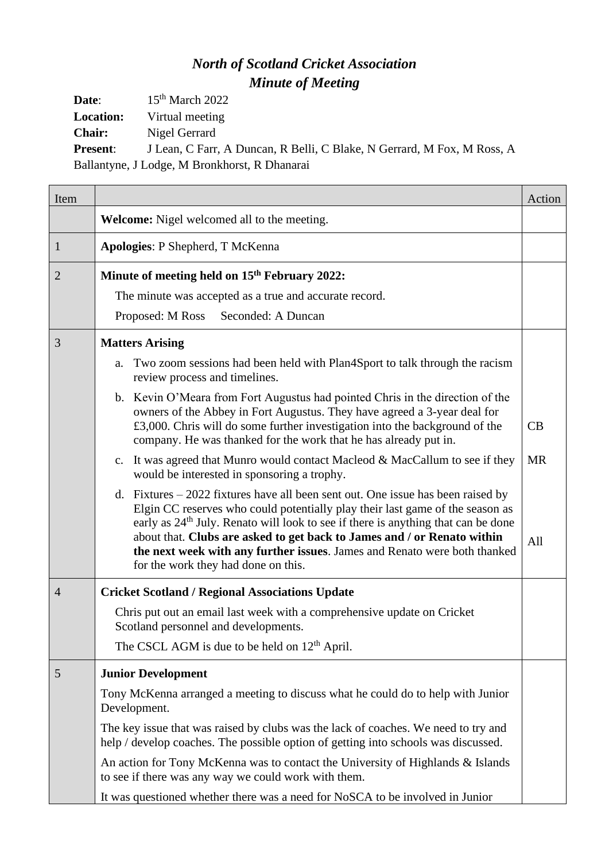## *North of Scotland Cricket Association Minute of Meeting*

**Date**: 15<sup>th</sup> March 2022 **Location:** Virtual meeting

**Chair:** Nigel Gerrard

**Present**: J Lean, C Farr, A Duncan, R Belli, C Blake, N Gerrard, M Fox, M Ross, A Ballantyne, J Lodge, M Bronkhorst, R Dhanarai

| Item           |                                                                                                                                                                                                                                                                                                                                                                                                                                                                    | Action    |
|----------------|--------------------------------------------------------------------------------------------------------------------------------------------------------------------------------------------------------------------------------------------------------------------------------------------------------------------------------------------------------------------------------------------------------------------------------------------------------------------|-----------|
|                | Welcome: Nigel welcomed all to the meeting.                                                                                                                                                                                                                                                                                                                                                                                                                        |           |
| $\mathbf{1}$   | Apologies: P Shepherd, T McKenna                                                                                                                                                                                                                                                                                                                                                                                                                                   |           |
| 2              | Minute of meeting held on 15 <sup>th</sup> February 2022:                                                                                                                                                                                                                                                                                                                                                                                                          |           |
|                | The minute was accepted as a true and accurate record.                                                                                                                                                                                                                                                                                                                                                                                                             |           |
|                | Seconded: A Duncan<br>Proposed: M Ross                                                                                                                                                                                                                                                                                                                                                                                                                             |           |
| 3              | <b>Matters Arising</b>                                                                                                                                                                                                                                                                                                                                                                                                                                             |           |
|                | Two zoom sessions had been held with Plan4Sport to talk through the racism<br>a.<br>review process and timelines.                                                                                                                                                                                                                                                                                                                                                  |           |
|                | b. Kevin O'Meara from Fort Augustus had pointed Chris in the direction of the<br>owners of the Abbey in Fort Augustus. They have agreed a 3-year deal for<br>£3,000. Chris will do some further investigation into the background of the<br>company. He was thanked for the work that he has already put in.                                                                                                                                                       | CB        |
|                | It was agreed that Munro would contact Macleod & MacCallum to see if they<br>$\mathbf{c}$ .<br>would be interested in sponsoring a trophy.                                                                                                                                                                                                                                                                                                                         | <b>MR</b> |
|                | d. Fixtures $-2022$ fixtures have all been sent out. One issue has been raised by<br>Elgin CC reserves who could potentially play their last game of the season as<br>early as 24 <sup>th</sup> July. Renato will look to see if there is anything that can be done<br>about that. Clubs are asked to get back to James and / or Renato within<br>the next week with any further issues. James and Renato were both thanked<br>for the work they had done on this. | All       |
| $\overline{4}$ | <b>Cricket Scotland / Regional Associations Update</b>                                                                                                                                                                                                                                                                                                                                                                                                             |           |
|                | Chris put out an email last week with a comprehensive update on Cricket<br>Scotland personnel and developments.                                                                                                                                                                                                                                                                                                                                                    |           |
|                | The CSCL AGM is due to be held on $12th$ April.                                                                                                                                                                                                                                                                                                                                                                                                                    |           |
| 5              | <b>Junior Development</b>                                                                                                                                                                                                                                                                                                                                                                                                                                          |           |
|                | Tony McKenna arranged a meeting to discuss what he could do to help with Junior<br>Development.                                                                                                                                                                                                                                                                                                                                                                    |           |
|                | The key issue that was raised by clubs was the lack of coaches. We need to try and<br>help / develop coaches. The possible option of getting into schools was discussed.                                                                                                                                                                                                                                                                                           |           |
|                | An action for Tony McKenna was to contact the University of Highlands & Islands<br>to see if there was any way we could work with them.                                                                                                                                                                                                                                                                                                                            |           |
|                | It was questioned whether there was a need for NoSCA to be involved in Junior                                                                                                                                                                                                                                                                                                                                                                                      |           |